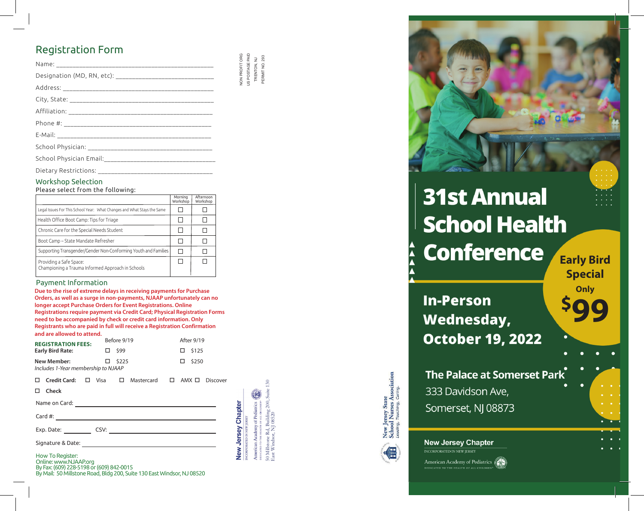## **Registration Form**

| <b>INCYPISCI OCIOITT OFFIT</b>                                |  |  |                                                  |
|---------------------------------------------------------------|--|--|--------------------------------------------------|
|                                                               |  |  | NON PROFIT ORG<br>US POSTAGE PAID<br>TRENTON, NJ |
| Designation (MD, RN, etc): __________________________________ |  |  |                                                  |
|                                                               |  |  |                                                  |
|                                                               |  |  |                                                  |
|                                                               |  |  |                                                  |
|                                                               |  |  |                                                  |
|                                                               |  |  |                                                  |
|                                                               |  |  |                                                  |
|                                                               |  |  |                                                  |
| Dietary Restrictions:                                         |  |  |                                                  |

## **Workshop Selection**

Please select from the following:

|                                                                              | Morning<br>Workshop | Afternoon<br>Workshop |
|------------------------------------------------------------------------------|---------------------|-----------------------|
| Legal Issues For This School Year: What Changes and What Stays the Same      |                     |                       |
| Health Office Boot Camp: Tips for Triage                                     |                     |                       |
| Chronic Care for the Special Needs Student                                   |                     |                       |
| Boot Camp – State Mandate Refresher                                          |                     |                       |
| Supporting Transgender/Gender Non-Conforming Youth and Families              |                     |                       |
| Providing a Safe Space:<br>Championing a Trauma Informed Approach in Schools |                     |                       |

### Payment Information

Due to the rise of extreme delays in receiving payments for Purchase Orders, as well as a surge in non-payments, NJAAP unfortunately can no longer accept Purchase Orders for Event Registrations. Online Registrations require payment via Credit Card; Physical Registration Forms need to be accompanied by check or credit card information. Only Registrants who are paid in full will receive a Registration Confirmation and are allowed to attend

| <b>REGISTRATION FEES:</b><br><b>Early Bird Rate:</b> | Before 9/19  | After 9/19      |
|------------------------------------------------------|--------------|-----------------|
|                                                      | $\Box$ \$99  | $\square$ \$125 |
| New Member:                                          | $\Box$ \$225 | $\square$ \$250 |
| Includes 1-Year membershin to NIAAP                  |              |                 |

| Credit Card:                             | $\Box$ |      | Visa $\Box$ Mastercard $\Box$ AMX $\Box$                                                                            |  | Discover |                    |
|------------------------------------------|--------|------|---------------------------------------------------------------------------------------------------------------------|--|----------|--------------------|
| <b>Check</b>                             |        |      |                                                                                                                     |  |          |                    |
| Name on Card:                            |        |      | <u> 1980 - Jan Samuel Barbara, martin a shekara 1980 - An tsara 1980 - An tsara 1980 - An tsara 1980 - An tsara</u> |  |          |                    |
| Card $#$ :                               |        |      |                                                                                                                     |  |          | New Jersey Chapter |
| Exp. Date:                               |        | CSV: |                                                                                                                     |  |          |                    |
| Signature & Date:                        |        |      |                                                                                                                     |  |          |                    |
| How To Register:<br>Opline: www.NJAADorg |        |      |                                                                                                                     |  |          |                    |

American Academy of Pediatrics 200. Sui 60 Millstone Rd, Building<br>3ast Windsor, NJ 08520 RPORATED IN NEW

PERMIT NO.

**Conference In-Person Wednesday,** 

**31st Annual** 

**School Health** 

**Early Bird Special** Only

The Palace at Somerset Park 333 Davidson Ave, Somerset, NJ 08873

**October 19, 2022** 

## **New Jersey Chapter**

**INCORPORATED IN NEW JERSEY** 

New Jersey State<br>School Nurses Association<br>Leading, Teaching, Caring.

American Academy of Pediatrics DEDICATED TO THE HEALTH OF ALL CHILDRE